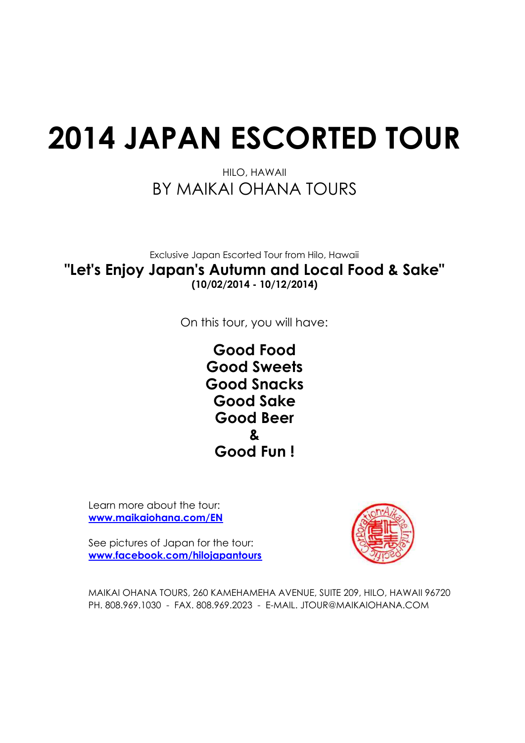# **2014 JAPAN ESCORTED TOUR**

### BY MAIKAI OHANA TOURS HILO, HAWAII

### Exclusive Japan Escorted Tour from Hilo, Hawaii **"Let's Enjoy Japan's Autumn and Local Food & Sake" (10/02/2014 - 10/12/2014)**

On this tour, you will have:

**Good Food Good Sweets Good Snacks Good Sake Good Beer Good Fun ! &**

Learn more about the tour: **www.maikaiohana.com/EN**

See pictures of Japan for the tour: **www.facebook.com/hilojapantours**



MAIKAI OHANA TOURS, 260 KAMEHAMEHA AVENUE, SUITE 209, HILO, HAWAII 96720 PH. 808.969.1030 - FAX. 808.969.2023 - E-MAIL. JTOUR@MAIKAIOHANA.COM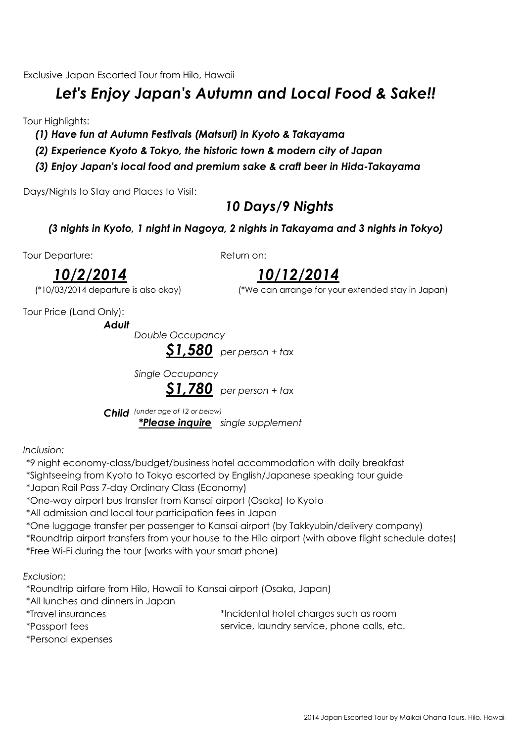Exclusive Japan Escorted Tour from Hilo, Hawaii

## *Let's Enjoy Japan's Autumn and Local Food & Sake!!*

**Tour Highlights:** 

- *(1) Have fun at Autumn Festivals (Matsuri) in Kyoto & Takayama*
- *(2) Experience Kyoto & Tokyo, the historic town & modern city of Japan*
- *(3) Enjoy Japan's local food and premium sake & craft beer in Hida-Takayama*

Days/Nights to Stay and Places to Visit:

### *10 Days/9 Nights*

### *(3 nights in Kyoto, 1 night in Nagoya, 2 nights in Takayama and 3 nights in Tokyo)*

Tour Departure:

Return on:

*10/12/2014*

(\*10/03/2014 departure is also okay) (\*We can arrange for your extended stay in Japan)

*10/2/2014*

*Adult*

Tour Price (Land Only):

*Double Occupancy \$1,580 per person + tax*

*Single Occupancy*



*Child (under age of 12 or below) \*Please inquire single supplement*

*Inclusion:*

\*9 night economy-class/budget/business hotel accommodation with daily breakfast

\*Sightseeing from Kyoto to Tokyo escorted by English/Japanese speaking tour guide

\*Japan Rail Pass 7-day Ordinary Class (Economy)

\*One-way airport bus transfer from Kansai airport (Osaka) to Kyoto

\*All admission and local tour participation fees in Japan

\*One luggage transfer per passenger to Kansai airport (by Takkyubin/delivery company)

\*Roundtrip airport transfers from your house to the Hilo airport (with above flight schedule dates)

\*Free Wi-Fi during the tour (works with your smart phone)

*Exclusion:*

\*Roundtrip airfare from Hilo, Hawaii to Kansai airport (Osaka, Japan)

\*All lunches and dinners in Japan

\*Travel insurances \*Incidental hotel charges such as room

\*Passport fees

service, laundry service, phone calls, etc.

\*Personal expenses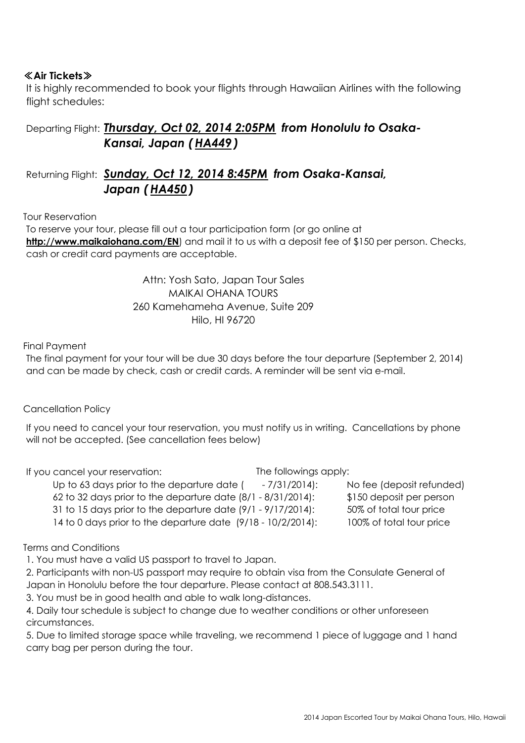### ≪**Air Tickets**≫

It is highly recommended to book your flights through Hawaiian Airlines with the following flight schedules:

### Departing Flight: *Thursday, Oct 02, 2014 2:05PM* from Honolulu to Osaka-*Kansai, Japan ( HA449 )*

### Returning Flight: *Sunday, Oct 12, 2014 8:45PM from Osaka-Kansai, Japan ( HA450 )*

#### Tour Reservation

To reserve your tour, please fill out a tour participation form (or go online at http://www.maikaiohana.com/EN) and mail it to us with a deposit fee of \$150 per person. Checks, cash or credit card payments are acceptable.

> MAIKAI OHANA TOURS Attn: Yosh Sato, Japan Tour Sales 260 Kamehameha Avenue, Suite 209 Hilo, HI 96720

#### Final Payment

The final payment for your tour will be due 30 days before the tour departure (September 2, 2014) and can be made by check, cash or credit cards. A reminder will be sent via e-mail.

#### Cancellation Policy

If you need to cancel your tour reservation, you must notify us in writing. Cancellations by phone will not be accepted. (See cancellation fees below)

If you cancel your reservation:

The followings apply:

Up to 63 days prior to the departure date ( - 7/31/2014): No fee (deposit refunded) 62 to 32 days prior to the departure date (8/1 - 8/31/2014): \$150 deposit per person

31 to 15 days prior to the departure date (9/1 - 9/17/2014): 50% of total tour price

14 to 0 days prior to the departure date (9/18 - 10/2/2014): 100% of total tour price

Terms and Conditions

1. You must have a valid US passport to travel to Japan.

2. Participants with non-US passport may require to obtain visa from the Consulate General of Japan in Honolulu before the tour departure. Please contact at 808.543.3111.

3. You must be in good health and able to walk long-distances.

4. Daily tour schedule is subject to change due to weather conditions or other unforeseen circumstances.

5. Due to limited storage space while traveling, we recommend 1 piece of luggage and 1 hand carry bag per person during the tour.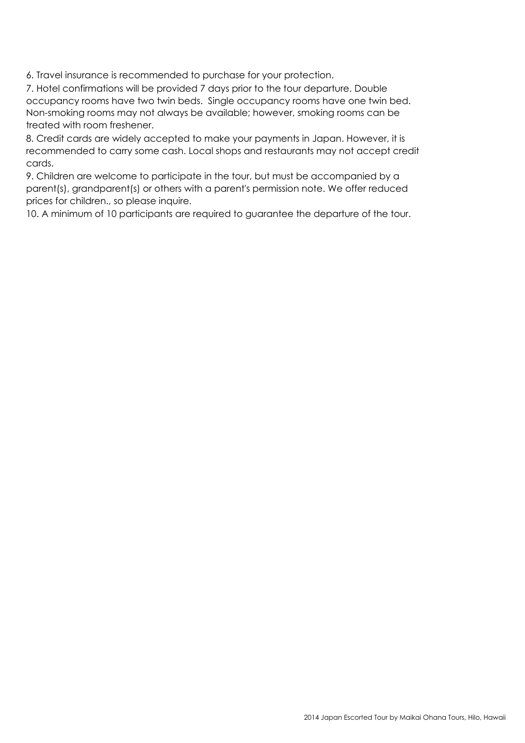6. Travel insurance is recommended to purchase for your protection.

7. Hotel confirmations will be provided 7 days prior to the tour departure. Double occupancy rooms have two twin beds. Single occupancy rooms have one twin bed. Non-smoking rooms may not always be available; however, smoking rooms can be treated with room freshener.

8. Credit cards are widely accepted to make your payments in Japan. However, it is recommended to carry some cash. Local shops and restaurants may not accept credit cards.

9. Children are welcome to participate in the tour, but must be accompanied by a parent(s), grandparent(s) or others with a parent's permission note. We offer reduced prices for children., so please inquire.

10. A minimum of 10 participants are required to guarantee the departure of the tour.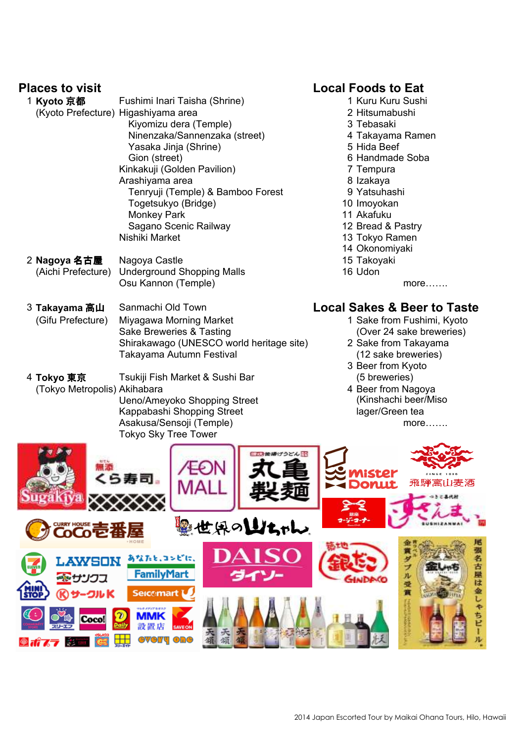- 1 **Kyoto 京都** Fushimi Inari Taisha (Shrine) 1 Kuru Kuru Kuru Sushi (Kyoto Prefecture) Higashiyama area 2 Hitsumabushi Kiyomizu dera (Temple) 3 Tebasaki Ninenzaka/Sannenzaka (street) 4 Takayama Ramen Yasaka Jinja (Shrine) 5 Hida Beef Gion (street) 6 Handmade Soba Kinkakuji (Golden Pavilion) 7 Tempura Arashiyama area 6 **12 Izakaya** Tenryuji (Temple) & Bamboo Forest 9 Yatsuhashi Togetsukyo (Bridge) 10 Imoyokan Monkey Park 11 Akafuku Sagano Scenic Railway 12 Bread & Pastry<br>
13 Tokyo Ramen<br>
13 Tokyo Ramen
- 2 **Nagoya 名古屋** Nagoya Castle 15 Takoyaki (Aichi Prefecture) Underground Shopping Malls 16 Udon Osu Kannon (Temple) more……..
- 3 **Takayama** 高山 Sanmachi Old Town **Local Sakes & Beer to Taste** (Gifu Prefecture) Miyagawa Morning Market 1 Sake from Fushimi, Kyoto Sake Breweries & Tasting (Over 24 sake breweries) Shirakawago (UNESCO world heritage site) 2 Sake from Takayama Takayama Autumn Festival (12 sake breweries)
- 4 **Tokyo** 東京 Tsukiji Fish Market & Sushi Bar (5 breweries) (Tokyo Metropolis) Akihabara 4 Beer from Nagoya Ueno/Ameyoko Shopping Street Kappabashi Shopping Street

### **Places to visit Local Foods to Eat**

- 
- 
- 
- 
- 
- 
- 
- 
- 
- 
- 
- 
- 13 Tokyo Ramen
- 14 Okonomiyaki
- 
- 

- 
- 
- 3 Beer from Kyoto
- Asakusa/Sensoji (Temple) more……. (Kinshachi beer/Miso lager/Green tea

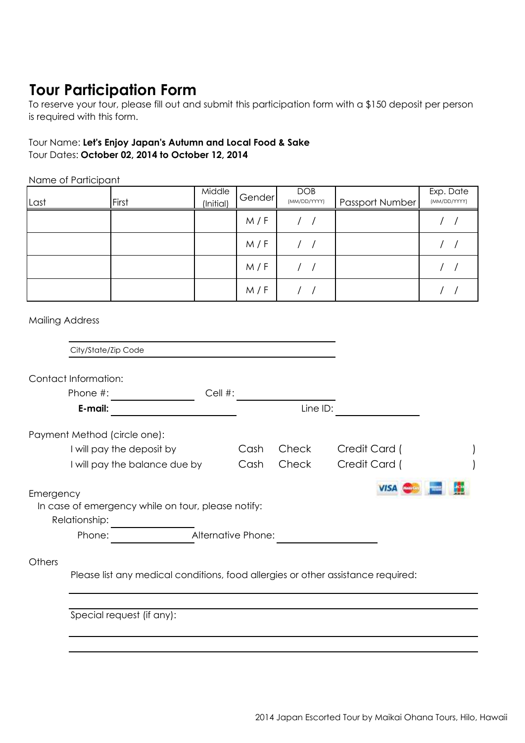## **Tour Participation Form**

To reserve your tour, please fill out and submit this participation form with a \$150 deposit per person is required with this form.

#### Tour Name: **Let's Enjoy Japan's Autumn and Local Food & Sake** Tour Dates: **October 02, 2014 to October 12, 2014**

Name of Participant

| Last | First | Middle<br>(Initial) | Gender | <b>DOB</b><br>(MM/DD/YYYY) | Passport Number | Exp. Date<br>(MM/DD/YYYY) |
|------|-------|---------------------|--------|----------------------------|-----------------|---------------------------|
|      |       |                     | M/F    |                            |                 |                           |
|      |       |                     | M/F    |                            |                 |                           |
|      |       |                     | M/F    |                            |                 |                           |
|      |       |                     | M/F    |                            |                 |                           |

Mailing Address

|           | City/State/Zip Code                                                              |         |      |              |               |  |  |
|-----------|----------------------------------------------------------------------------------|---------|------|--------------|---------------|--|--|
|           | Contact Information:                                                             |         |      |              |               |  |  |
|           | Phone #:                                                                         | Cell #: |      |              |               |  |  |
|           | E-mail:                                                                          |         |      | Line ID:     |               |  |  |
|           | Payment Method (circle one):                                                     |         |      |              |               |  |  |
|           | I will pay the deposit by                                                        |         | Cash | Check        | Credit Card ( |  |  |
|           | I will pay the balance due by                                                    |         | Cash | <b>Check</b> | Credit Card ( |  |  |
| Emergency |                                                                                  |         |      |              |               |  |  |
|           | In case of emergency while on tour, please notify:<br>Relationship:              |         |      |              |               |  |  |
|           | Alternative Phone:<br>Phone:                                                     |         |      |              |               |  |  |
| Others    |                                                                                  |         |      |              |               |  |  |
|           | Please list any medical conditions, food allergies or other assistance required: |         |      |              |               |  |  |
|           |                                                                                  |         |      |              |               |  |  |
|           | Special request (if any):                                                        |         |      |              |               |  |  |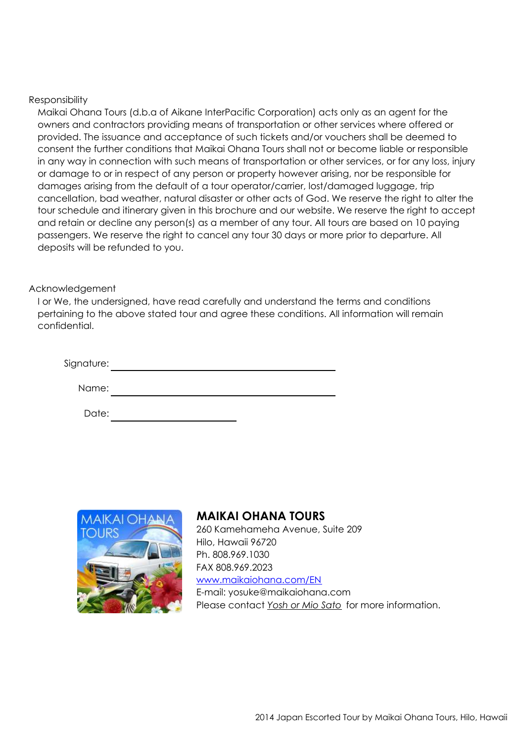#### Responsibility

Maikai Ohana Tours (d.b.a of Aikane InterPacific Corporation) acts only as an agent for the owners and contractors providing means of transportation or other services where offered or provided. The issuance and acceptance of such tickets and/or vouchers shall be deemed to consent the further conditions that Maikai Ohana Tours shall not or become liable or responsible in any way in connection with such means of transportation or other services, or for any loss, injury or damage to or in respect of any person or property however arising, nor be responsible for damages arising from the default of a tour operator/carrier, lost/damaged luggage, trip cancellation, bad weather, natural disaster or other acts of God. We reserve the right to alter the tour schedule and itinerary given in this brochure and our website. We reserve the right to accept and retain or decline any person(s) as a member of any tour. All tours are based on 10 paying passengers. We reserve the right to cancel any tour 30 days or more prior to departure. All deposits will be refunded to you.

#### Acknowledgement

I or We, the undersigned, have read carefully and understand the terms and conditions pertaining to the above stated tour and agree these conditions. All information will remain confidential.

| Signature: |  |  |  |
|------------|--|--|--|
|            |  |  |  |
| Name:      |  |  |  |

Date:



#### **MAIKAI OHANA TOURS**

260 Kamehameha Avenue, Suite 209 Hilo, Hawaii 96720 Ph. 808.969.1030 FAX 808.969.2023 www.maikaiohana.com/EN E-mail: yosuke@maikaiohana.com Please contact *Yosh or Mio Sato* for more information.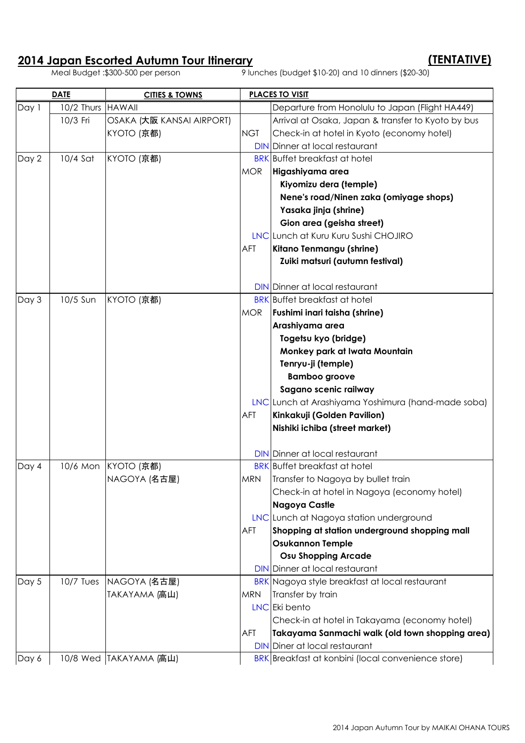# **2014 Japan Escorted Autumn Tour Itinerary (TENTATIVE)**

 $\overline{9}$  lunches (budget \$10-20) and 10 dinners (\$20-30)

|       | <b>DATE</b><br><b>CITIES &amp; TOWNS</b> |                           | <b>PLACES TO VISIT</b> |                                                    |  |
|-------|------------------------------------------|---------------------------|------------------------|----------------------------------------------------|--|
| Day 1 | 10/2 Thurs   HAWAII                      |                           |                        | Departure from Honolulu to Japan (Flight HA449)    |  |
|       | 10/3 Fri                                 | OSAKA (大阪 KANSAI AIRPORT) |                        | Arrival at Osaka, Japan & transfer to Kyoto by bus |  |
|       |                                          | KYOTO (京都)                | <b>NGT</b>             | Check-in at hotel in Kyoto (economy hotel)         |  |
|       |                                          |                           |                        | <b>DIN</b> Dinner at local restaurant              |  |
| Day 2 | 10/4 Sat                                 | KYOTO (京都)                |                        | <b>BRK</b> Buffet breakfast at hotel               |  |
|       |                                          |                           | <b>MOR</b>             | Higashiyama area                                   |  |
|       |                                          |                           |                        | Kiyomizu dera (temple)                             |  |
|       |                                          |                           |                        | Nene's road/Ninen zaka (omiyage shops)             |  |
|       |                                          |                           |                        | Yasaka jinja (shrine)                              |  |
|       |                                          |                           |                        | Gion area (geisha street)                          |  |
|       |                                          |                           |                        | LNC Lunch at Kuru Kuru Sushi CHOJIRO               |  |
|       |                                          |                           | AFT                    | Kitano Tenmangu (shrine)                           |  |
|       |                                          |                           |                        | Zuiki matsuri (autumn festival)                    |  |
|       |                                          |                           |                        |                                                    |  |
|       |                                          |                           |                        | <b>DIN</b> Dinner at local restaurant              |  |
| Day 3 | 10/5 Sun                                 | KYOTO (京都)                |                        | <b>BRK</b> Buffet breakfast at hotel               |  |
|       |                                          |                           | <b>MOR</b>             | Fushimi inari taisha (shrine)                      |  |
|       |                                          |                           |                        | Arashiyama area                                    |  |
|       |                                          |                           |                        | Togetsu kyo (bridge)                               |  |
|       |                                          |                           |                        | Monkey park at Iwata Mountain                      |  |
|       |                                          |                           |                        | Tenryu-ji (temple)                                 |  |
|       |                                          |                           |                        | <b>Bamboo groove</b>                               |  |
|       |                                          |                           |                        | Sagano scenic railway                              |  |
|       |                                          |                           |                        | LNC Lunch at Arashiyama Yoshimura (hand-made soba) |  |
|       |                                          |                           | AFT                    | Kinkakuji (Golden Pavilion)                        |  |
|       |                                          |                           |                        | Nishiki ichiba (street market)                     |  |
|       |                                          |                           |                        |                                                    |  |
|       |                                          |                           |                        | <b>DIN</b> Dinner at local restaurant              |  |
| Day 4 | 10/6 Mon                                 | KYOTO (京都)                |                        | <b>BRK</b> Buffet breakfast at hotel               |  |
|       |                                          | NAGOYA (名古屋)              | <b>MRN</b>             | Transfer to Nagoya by bullet train                 |  |
|       |                                          |                           |                        | Check-in at hotel in Nagoya (economy hotel)        |  |
|       |                                          |                           |                        | <b>Nagoya Castle</b>                               |  |
|       |                                          |                           |                        | LNC Lunch at Nagoya station underground            |  |
|       |                                          |                           | AFT                    | Shopping at station underground shopping mall      |  |
|       |                                          |                           |                        | <b>Osukannon Temple</b>                            |  |
|       |                                          |                           |                        | <b>Osu Shopping Arcade</b>                         |  |
|       |                                          |                           |                        | <b>DIN</b> Dinner at local restaurant              |  |
| Day 5 | $10/7$ Tues                              | NAGOYA (名古屋)              |                        | BRK Nagoya style breakfast at local restaurant     |  |
|       |                                          | TAKAYAMA (高山)             | <b>MRN</b>             | Transfer by train                                  |  |
|       |                                          |                           |                        | LNC Eki bento                                      |  |
|       |                                          |                           |                        | Check-in at hotel in Takayama (economy hotel)      |  |
|       |                                          |                           | AFT                    | Takayama Sanmachi walk (old town shopping area)    |  |
|       |                                          |                           |                        | <b>DIN</b> Diner at local restaurant               |  |
| Day 6 |                                          | 10/8 Wed TAKAYAMA (高山)    |                        | BRK Breakfast at konbini (local convenience store) |  |